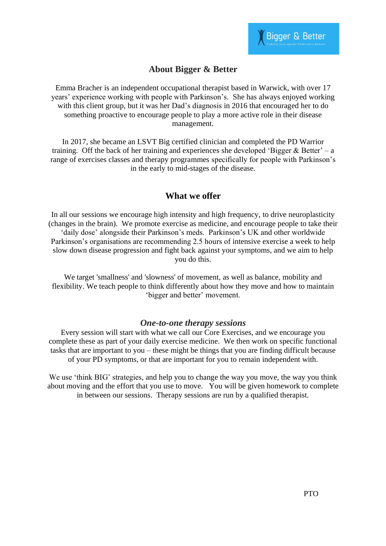# **About Bigger & Better**

Emma Bracher is an independent occupational therapist based in Warwick, with over 17 years' experience working with people with Parkinson's. She has always enjoyed working with this client group, but it was her Dad's diagnosis in 2016 that encouraged her to do something proactive to encourage people to play a more active role in their disease management.

In 2017, she became an LSVT Big certified clinician and completed the PD Warrior training. Off the back of her training and experiences she developed 'Bigger  $&$  Better' – a range of exercises classes and therapy programmes specifically for people with Parkinson's in the early to mid-stages of the disease.

# **What we offer**

In all our sessions we encourage high intensity and high frequency, to drive neuroplasticity (changes in the brain). We promote exercise as medicine, and encourage people to take their 'daily dose' alongside their Parkinson's meds. Parkinson's UK and other worldwide Parkinson's organisations are recommending 2.5 hours of intensive exercise a week to help slow down disease progression and fight back against your symptoms, and we aim to help you do this.

We target 'smallness' and 'slowness' of movement, as well as balance, mobility and flexibility. We teach people to think differently about how they move and how to maintain 'bigger and better' movement.

# *One-to-one therapy sessions*

Every session will start with what we call our Core Exercises, and we encourage you complete these as part of your daily exercise medicine. We then work on specific functional tasks that are important to you – these might be things that you are finding difficult because of your PD symptoms, or that are important for you to remain independent with.

We use 'think BIG' strategies, and help you to change the way you move, the way you think about moving and the effort that you use to move. You will be given homework to complete in between our sessions. Therapy sessions are run by a qualified therapist.